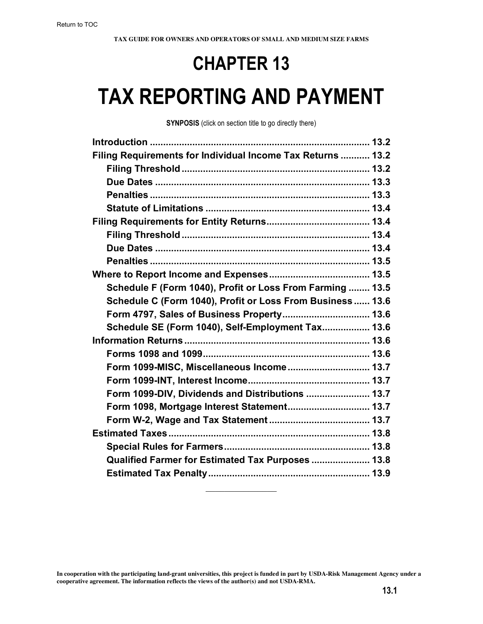# **CHAPTER 13**

# **TAX REPORTING AND PAYMENT**

**SYNPOSIS** (click on section title to go directly there)

| Filing Requirements for Individual Income Tax Returns  13.2 |  |
|-------------------------------------------------------------|--|
|                                                             |  |
|                                                             |  |
|                                                             |  |
|                                                             |  |
|                                                             |  |
|                                                             |  |
|                                                             |  |
|                                                             |  |
|                                                             |  |
| Schedule F (Form 1040), Profit or Loss From Farming  13.5   |  |
| Schedule C (Form 1040), Profit or Loss From Business 13.6   |  |
| Form 4797, Sales of Business Property 13.6                  |  |
| Schedule SE (Form 1040), Self-Employment Tax 13.6           |  |
|                                                             |  |
|                                                             |  |
| Form 1099-MISC, Miscellaneous Income 13.7                   |  |
|                                                             |  |
| Form 1099-DIV, Dividends and Distributions  13.7            |  |
| Form 1098, Mortgage Interest Statement 13.7                 |  |
|                                                             |  |
|                                                             |  |
|                                                             |  |
| Qualified Farmer for Estimated Tax Purposes  13.8           |  |
|                                                             |  |
|                                                             |  |

 $\mathcal{L}_\text{max}$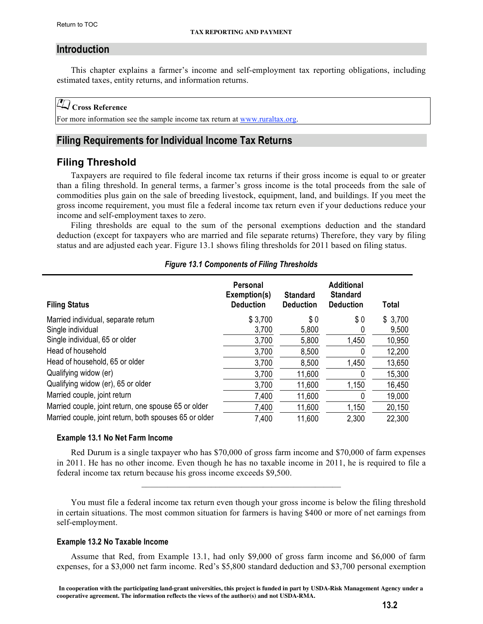#### <span id="page-1-0"></span>**Introduction**

This chapter explains a farmer's income and self-employment tax reporting obligations, including estimated taxes, entity returns, and information returns.

#### **Cross Reference**

For more information see the sample income tax return at www.ruraltax.org.

# **Filing Requirements for Individual Income Tax Returns**

# **Filing Threshold**

Taxpayers are required to file federal income tax returns if their gross income is equal to or greater than a filing threshold. In general terms, a farmer's gross income is the total proceeds from the sale of commodities plus gain on the sale of breeding livestock, equipment, land, and buildings. If you meet the gross income requirement, you must file a federal income tax return even if your deductions reduce your income and self-employment taxes to zero.

Filing thresholds are equal to the sum of the personal exemptions deduction and the standard deduction (except for taxpayers who are married and file separate returns) Therefore, they vary by filing status and are adjusted each year. Figure 13.1 shows filing thresholds for 2011 based on filing status.

| <b>Filing Status</b>                                   | <b>Personal</b><br>Exemption(s)<br><b>Deduction</b> | <b>Standard</b><br><b>Deduction</b> | <b>Additional</b><br><b>Standard</b><br><b>Deduction</b> | <b>Total</b> |
|--------------------------------------------------------|-----------------------------------------------------|-------------------------------------|----------------------------------------------------------|--------------|
| Married individual, separate return                    | \$3,700                                             | \$0                                 | \$0                                                      | \$3,700      |
| Single individual                                      | 3,700                                               | 5,800                               | U                                                        | 9,500        |
| Single individual, 65 or older                         | 3,700                                               | 5,800                               | 1,450                                                    | 10,950       |
| Head of household                                      | 3,700                                               | 8,500                               | 0                                                        | 12,200       |
| Head of household, 65 or older                         | 3,700                                               | 8,500                               | 1,450                                                    | 13,650       |
| Qualifying widow (er)                                  | 3,700                                               | 11,600                              | 0                                                        | 15,300       |
| Qualifying widow (er), 65 or older                     | 3,700                                               | 11,600                              | 1,150                                                    | 16,450       |
| Married couple, joint return                           | 7,400                                               | 11,600                              | 0                                                        | 19,000       |
| Married couple, joint return, one spouse 65 or older   | 7,400                                               | 11,600                              | 1,150                                                    | 20,150       |
| Married couple, joint return, both spouses 65 or older | 7,400                                               | 11,600                              | 2,300                                                    | 22,300       |

#### *Figure 13.1 Components of Filing Thresholds*

#### **Example 13.1 No Net Farm Income**

Red Durum is a single taxpayer who has \$70,000 of gross farm income and \$70,000 of farm expenses in 2011. He has no other income. Even though he has no taxable income in 2011, he is required to file a federal income tax return because his gross income exceeds \$9,500.

 $\mathcal{L}_\text{max} = \mathcal{L}_\text{max} = \mathcal{L}_\text{max} = \mathcal{L}_\text{max} = \mathcal{L}_\text{max} = \mathcal{L}_\text{max} = \mathcal{L}_\text{max}$ 

You must file a federal income tax return even though your gross income is below the filing threshold in certain situations. The most common situation for farmers is having \$400 or more of net earnings from self-employment.

#### **Example 13.2 No Taxable Income**

Assume that Red, from Example 13.1, had only \$9,000 of gross farm income and \$6,000 of farm expenses, for a \$3,000 net farm income. Red's \$5,800 standard deduction and \$3,700 personal exemption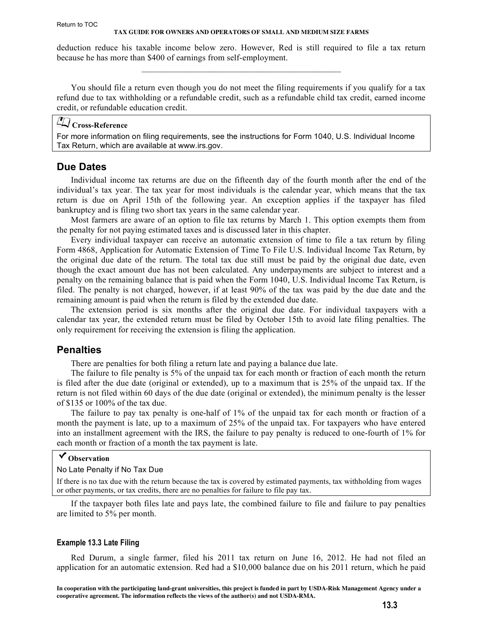<span id="page-2-0"></span>deduction reduce his taxable income below zero. However, Red is still required to file a tax return because he has more than \$400 of earnings from self-employment.  $\mathcal{L}_\text{max} = \mathcal{L}_\text{max} = \mathcal{L}_\text{max} = \mathcal{L}_\text{max} = \mathcal{L}_\text{max} = \mathcal{L}_\text{max} = \mathcal{L}_\text{max}$ 

You should file a return even though you do not meet the filing requirements if you qualify for a tax refund due to tax withholding or a refundable credit, such as a refundable child tax credit, earned income credit, or refundable education credit.

#### **Cross-Reference**

[For more information on filing requirements, see the instructions for Form 1040, U.S. Individual Income](http://www.irs.gov/pub/irs-pdf/i1040.pdf)  [Tax Return,](http://www.irs.gov/pub/irs-pdf/i1040.pdf) which are available at www.irs.gov.

#### **Due Dates**

Individual income tax returns are due on the fifteenth day of the fourth month after the end of the individual's tax year. The tax year for most individuals is the calendar year, which means that the tax return is due on April 15th of the following year. An exception applies if the taxpayer has filed bankruptcy and is filing two short tax years in the same calendar year.

Most farmers are aware of an option to file tax returns by March 1. This option exempts them from the penalty for not paying estimated taxes and is discussed later in this chapter.

Every individual taxpayer can receive an automatic extension of time to file a tax return by filing Form 4868, Application for Automatic Extension of Time To File U.S. Individual Income Tax Return, by the original due date of the return. The total tax due still must be paid by the original due date, even though the exact amount due has not been calculated. Any underpayments are subject to interest and a penalty on the remaining balance that is paid when the Form 1040, U.S. Individual Income Tax Return, is filed. The penalty is not charged, however, if at least 90% of the tax was paid by the due date and the remaining amount is paid when the return is filed by the extended due date.

The extension period is six months after the original due date. For individual taxpayers with a calendar tax year, the extended return must be filed by October 15th to avoid late filing penalties. The only requirement for receiving the extension is filing the application.

#### **Penalties**

There are penalties for both filing a return late and paying a balance due late.

The failure to file penalty is 5% of the unpaid tax for each month or fraction of each month the return is filed after the due date (original or extended), up to a maximum that is 25% of the unpaid tax. If the return is not filed within 60 days of the due date (original or extended), the minimum penalty is the lesser of \$135 or 100% of the tax due.

The failure to pay tax penalty is one-half of 1% of the unpaid tax for each month or fraction of a month the payment is late, up to a maximum of 25% of the unpaid tax. For taxpayers who have entered into an installment agreement with the IRS, the failure to pay penalty is reduced to one-fourth of 1% for each month or fraction of a month the tax payment is late.

#### **Observation**

#### No Late Penalty if No Tax Due

If there is no tax due with the return because the tax is covered by estimated payments, tax withholding from wages or other payments, or tax credits, there are no penalties for failure to file pay tax.

If the taxpayer both files late and pays late, the combined failure to file and failure to pay penalties are limited to 5% per month.

#### **Example 13.3 Late Filing**

Red Durum, a single farmer, filed his 2011 tax return on June 16, 2012. He had not filed an application for an automatic extension. Red had a \$10,000 balance due on his 2011 return, which he paid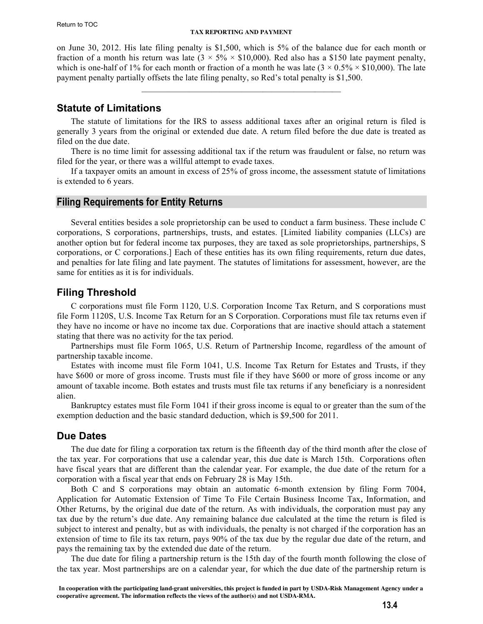<span id="page-3-0"></span>on June 30, 2012. His late filing penalty is \$1,500, which is 5% of the balance due for each month or fraction of a month his return was late  $(3 \times 5\% \times \$10,000)$ . Red also has a \$150 late payment penalty, which is one-half of 1% for each month or fraction of a month he was late  $(3 \times 0.5\% \times \$10,000)$ . The late payment penalty partially offsets the late filing penalty, so Red's total penalty is \$1,500.

 $\mathcal{L}_\text{max} = \mathcal{L}_\text{max} = \mathcal{L}_\text{max} = \mathcal{L}_\text{max} = \mathcal{L}_\text{max} = \mathcal{L}_\text{max} = \mathcal{L}_\text{max}$ 

#### **Statute of Limitations**

The statute of limitations for the IRS to assess additional taxes after an original return is filed is generally 3 years from the original or extended due date. A return filed before the due date is treated as filed on the due date.

There is no time limit for assessing additional tax if the return was fraudulent or false, no return was filed for the year, or there was a willful attempt to evade taxes.

If a taxpayer omits an amount in excess of 25% of gross income, the assessment statute of limitations is extended to 6 years.

#### **Filing Requirements for Entity Returns**

Several entities besides a sole proprietorship can be used to conduct a farm business. These include C corporations, S corporations, partnerships, trusts, and estates. [Limited liability companies (LLCs) are another option but for federal income tax purposes, they are taxed as sole proprietorships, partnerships, S corporations, or C corporations.] Each of these entities has its own filing requirements, return due dates, and penalties for late filing and late payment. The statutes of limitations for assessment, however, are the same for entities as it is for individuals.

#### **Filing Threshold**

C corporations must file Form 1120, U.S. Corporation Income Tax Return, and S corporations must file Form 1120S, U.S. Income Tax Return for an S Corporation. Corporations must file tax returns even if they have no income or have no income tax due. Corporations that are inactive should attach a statement stating that there was no activity for the tax period.

Partnerships must file Form 1065, U.S. Return of Partnership Income, regardless of the amount of partnership taxable income.

Estates with income must file Form 1041, U.S. Income Tax Return for Estates and Trusts, if they have \$600 or more of gross income. Trusts must file if they have \$600 or more of gross income or any amount of taxable income. Both estates and trusts must file tax returns if any beneficiary is a nonresident alien.

Bankruptcy estates must file Form 1041 if their gross income is equal to or greater than the sum of the exemption deduction and the basic standard deduction, which is \$9,500 for 2011.

## **Due Dates**

The due date for filing a corporation tax return is the fifteenth day of the third month after the close of the tax year. For corporations that use a calendar year, this due date is March 15th. Corporations often have fiscal years that are different than the calendar year. For example, the due date of the return for a corporation with a fiscal year that ends on February 28 is May 15th.

Both C and S corporations may obtain an automatic 6-month extension by filing Form 7004, Application for Automatic Extension of Time To File Certain Business Income Tax, Information, and Other Returns, by the original due date of the return. As with individuals, the corporation must pay any tax due by the return's due date. Any remaining balance due calculated at the time the return is filed is subject to interest and penalty, but as with individuals, the penalty is not charged if the corporation has an extension of time to file its tax return, pays 90% of the tax due by the regular due date of the return, and pays the remaining tax by the extended due date of the return.

The due date for filing a partnership return is the 15th day of the fourth month following the close of the tax year. Most partnerships are on a calendar year, for which the due date of the partnership return is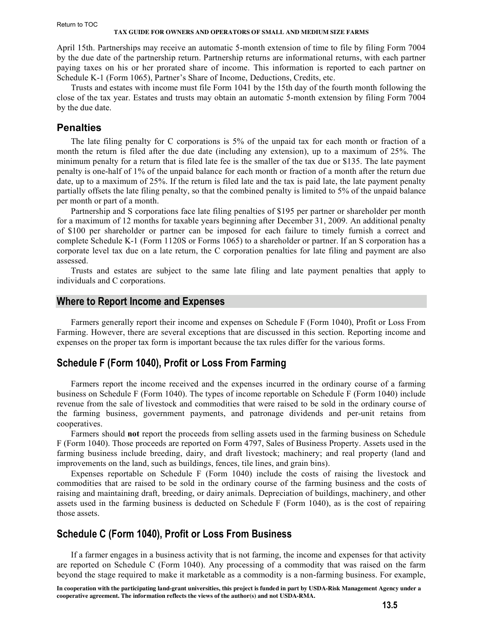#### <span id="page-4-0"></span>Return to TOC

#### **TAX GUIDE FOR OWNERS AND OPERATORS OF SMALL AND MEDIUM SIZE FARMS**

April 15th. Partnerships may receive an automatic 5-month extension of time to file by filing Form 7004 by the due date of the partnership return. Partnership returns are informational returns, with each partner paying taxes on his or her prorated share of income. This information is reported to each partner on Schedule K-1 (Form 1065), Partner's Share of Income, Deductions, Credits, etc.

Trusts and estates with income must file Form 1041 by the 15th day of the fourth month following the close of the tax year. Estates and trusts may obtain an automatic 5-month extension by filing Form 7004 by the due date.

#### **Penalties**

The late filing penalty for C corporations is 5% of the unpaid tax for each month or fraction of a month the return is filed after the due date (including any extension), up to a maximum of 25%. The minimum penalty for a return that is filed late fee is the smaller of the tax due or \$135. The late payment penalty is one-half of 1% of the unpaid balance for each month or fraction of a month after the return due date, up to a maximum of 25%. If the return is filed late and the tax is paid late, the late payment penalty partially offsets the late filing penalty, so that the combined penalty is limited to 5% of the unpaid balance per month or part of a month.

Partnership and S corporations face late filing penalties of \$195 per partner or shareholder per month for a maximum of 12 months for taxable years beginning after December 31, 2009. An additional penalty of \$100 per shareholder or partner can be imposed for each failure to timely furnish a correct and complete Schedule K-1 (Form 1120S or Forms 1065) to a shareholder or partner. If an S corporation has a corporate level tax due on a late return, the C corporation penalties for late filing and payment are also assessed.

Trusts and estates are subject to the same late filing and late payment penalties that apply to individuals and C corporations.

#### **Where to Report Income and Expenses**

Farmers generally report their income and expenses on Schedule F (Form 1040), Profit or Loss From Farming. However, there are several exceptions that are discussed in this section. Reporting income and expenses on the proper tax form is important because the tax rules differ for the various forms.

## **Schedule F (Form 1040), Profit or Loss From Farming**

Farmers report the income received and the expenses incurred in the ordinary course of a farming business on Schedule F (Form 1040). The types of income reportable on Schedule F (Form 1040) include revenue from the sale of livestock and commodities that were raised to be sold in the ordinary course of the farming business, government payments, and patronage dividends and per-unit retains from cooperatives.

Farmers should **not** report the proceeds from selling assets used in the farming business on Schedule F (Form 1040). Those proceeds are reported on Form 4797, Sales of Business Property. Assets used in the farming business include breeding, dairy, and draft livestock; machinery; and real property (land and improvements on the land, such as buildings, fences, tile lines, and grain bins).

Expenses reportable on Schedule F (Form 1040) include the costs of raising the livestock and commodities that are raised to be sold in the ordinary course of the farming business and the costs of raising and maintaining draft, breeding, or dairy animals. Depreciation of buildings, machinery, and other assets used in the farming business is deducted on Schedule F (Form 1040), as is the cost of repairing those assets.

# **Schedule C (Form 1040), Profit or Loss From Business**

If a farmer engages in a business activity that is not farming, the income and expenses for that activity are reported on Schedule C (Form 1040). Any processing of a commodity that was raised on the farm beyond the stage required to make it marketable as a commodity is a non-farming business. For example,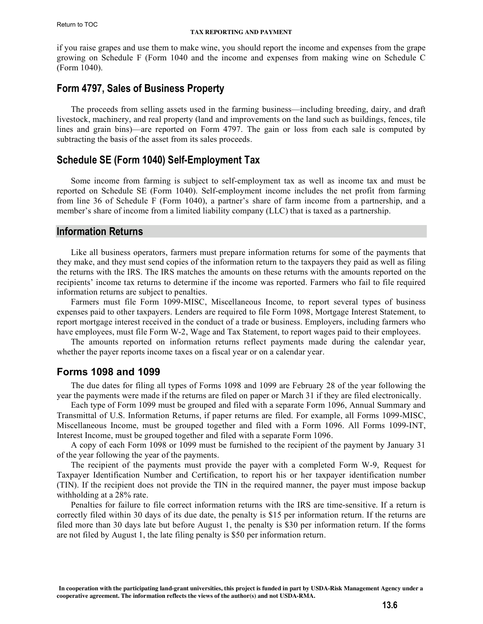<span id="page-5-0"></span>if you raise grapes and use them to make wine, you should report the income and expenses from the grape growing on Schedule F (Form 1040 and the income and expenses from making wine on Schedule C (Form 1040).

# **Form 4797, Sales of Business Property**

The proceeds from selling assets used in the farming business—including breeding, dairy, and draft livestock, machinery, and real property (land and improvements on the land such as buildings, fences, tile lines and grain bins)—are reported on Form 4797. The gain or loss from each sale is computed by subtracting the basis of the asset from its sales proceeds.

# **Schedule SE (Form 1040) Self-Employment Tax**

Some income from farming is subject to self-employment tax as well as income tax and must be reported on Schedule SE (Form 1040). Self-employment income includes the net profit from farming from line 36 of Schedule F (Form 1040), a partner's share of farm income from a partnership, and a member's share of income from a limited liability company (LLC) that is taxed as a partnership.

#### **Information Returns**

Like all business operators, farmers must prepare information returns for some of the payments that they make, and they must send copies of the information return to the taxpayers they paid as well as filing the returns with the IRS. The IRS matches the amounts on these returns with the amounts reported on the recipients' income tax returns to determine if the income was reported. Farmers who fail to file required information returns are subject to penalties.

Farmers must file Form 1099-MISC, Miscellaneous Income, to report several types of business expenses paid to other taxpayers. Lenders are required to file Form 1098, Mortgage Interest Statement, to report mortgage interest received in the conduct of a trade or business. Employers, including farmers who have employees, must file Form W-2, Wage and Tax Statement, to report wages paid to their employees.

The amounts reported on information returns reflect payments made during the calendar year, whether the payer reports income taxes on a fiscal year or on a calendar year.

## **Forms 1098 and 1099**

The due dates for filing all types of Forms 1098 and 1099 are February 28 of the year following the year the payments were made if the returns are filed on paper or March 31 if they are filed electronically.

Each type of Form 1099 must be grouped and filed with a separate Form 1096, Annual Summary and Transmittal of U.S. Information Returns, if paper returns are filed. For example, all Forms 1099-MISC, Miscellaneous Income, must be grouped together and filed with a Form 1096. All Forms 1099-INT, Interest Income, must be grouped together and filed with a separate Form 1096.

A copy of each Form 1098 or 1099 must be furnished to the recipient of the payment by January 31 of the year following the year of the payments.

The recipient of the payments must provide the payer with a completed Form W-9, Request for Taxpayer Identification Number and Certification, to report his or her taxpayer identification number (TIN). If the recipient does not provide the TIN in the required manner, the payer must impose backup withholding at a 28% rate.

Penalties for failure to file correct information returns with the IRS are time-sensitive. If a return is correctly filed within 30 days of its due date, the penalty is \$15 per information return. If the returns are filed more than 30 days late but before August 1, the penalty is \$30 per information return. If the forms are not filed by August 1, the late filing penalty is \$50 per information return.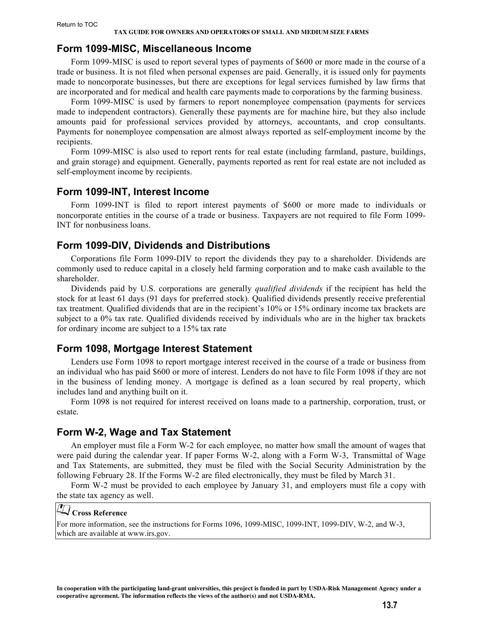#### <span id="page-6-0"></span>**Form 1099-MISC, Miscellaneous Income**

Form 1099-MISC is used to report several types of payments of \$600 or more made in the course of a trade or business. It is not filed when personal expenses are paid. Generally, it is issued only for payments made to noncorporate businesses, but there are exceptions for legal services furnished by law firms that are incorporated and for medical and health care payments made to corporations by the farming business.

Form 1099-MISC is used by farmers to report nonemployee compensation (payments for services made to independent contractors). Generally these payments are for machine hire, but they also include amounts paid for professional services provided by attorneys, accountants, and crop consultants. Payments for nonemployee compensation are almost always reported as self-employment income by the recipients.

Form 1099-MISC is also used to report rents for real estate (including farmland, pasture, buildings, and grain storage) and equipment. Generally, payments reported as rent for real estate are not included as self-employment income by recipients.

# **Form 1099-INT, Interest Income**

Form 1099-INT is filed to report interest payments of \$600 or more made to individuals or noncorporate entities in the course of a trade or business. Taxpayers are not required to file Form 1099- INT for nonbusiness loans.

# **Form 1099-DIV, Dividends and Distributions**

Corporations file Form 1099-DIV to report the dividends they pay to a shareholder. Dividends are commonly used to reduce capital in a closely held farming corporation and to make cash available to the shareholder.

Dividends paid by U.S. corporations are generally *qualified dividends* if the recipient has held the stock for at least 61 days (91 days for preferred stock). Qualified dividends presently receive preferential tax treatment. Qualified dividends that are in the recipient's 10% or 15% ordinary income tax brackets are subject to a 0% tax rate. Qualified dividends received by individuals who are in the higher tax brackets for ordinary income are subject to a 15% tax rate

## **Form 1098, Mortgage Interest Statement**

Lenders use Form 1098 to report mortgage interest received in the course of a trade or business from an individual who has paid \$600 or more of interest. Lenders do not have to file Form 1098 if they are not in the business of lending money. A mortgage is defined as a loan secured by real property, which includes land and anything built on it.

Form 1098 is not required for interest received on loans made to a partnership, corporation, trust, or estate.

# **Form W-2, Wage and Tax Statement**

An employer must file a Form W-2 for each employee, no matter how small the amount of wages that were paid during the calendar year. If paper Forms W-2, along with a Form W-3, Transmittal of Wage and Tax Statements, are submitted, they must be filed with the Social Security Administration by the following February 28. If the Forms W-2 are filed electronically, they must be filed by March 31.

Form W-2 must be provided to each employee by January 31, and employers must file a copy with the state tax agency as well.

# **Cross Reference**

For more information, see the instructions for Forms 1096, 1099-MISC, 1099-INT, 1099-DIV, W-2, and W-3, which are available at www.irs.gov.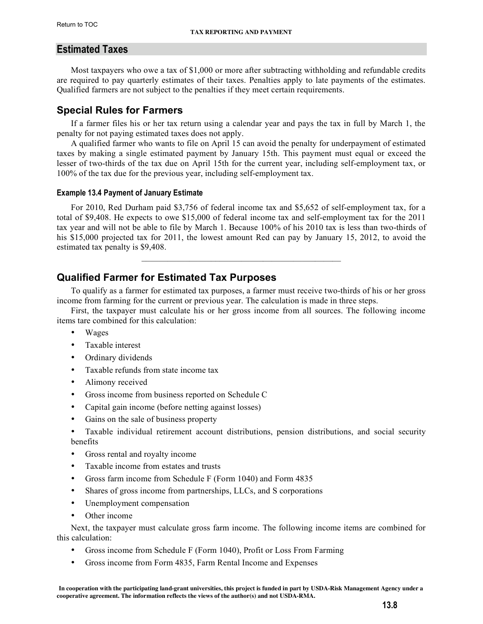# <span id="page-7-0"></span>**Estimated Taxes**

Most taxpayers who owe a tax of \$1,000 or more after subtracting withholding and refundable credits are required to pay quarterly estimates of their taxes. Penalties apply to late payments of the estimates. Qualified farmers are not subject to the penalties if they meet certain requirements.

# **Special Rules for Farmers**

If a farmer files his or her tax return using a calendar year and pays the tax in full by March 1, the penalty for not paying estimated taxes does not apply.

A qualified farmer who wants to file on April 15 can avoid the penalty for underpayment of estimated taxes by making a single estimated payment by January 15th. This payment must equal or exceed the lesser of two-thirds of the tax due on April 15th for the current year, including self-employment tax, or 100% of the tax due for the previous year, including self-employment tax.

#### **Example 13.4 Payment of January Estimate**

For 2010, Red Durham paid \$3,756 of federal income tax and \$5,652 of self-employment tax, for a total of \$9,408. He expects to owe \$15,000 of federal income tax and self-employment tax for the 2011 tax year and will not be able to file by March 1. Because 100% of his 2010 tax is less than two-thirds of his \$15,000 projected tax for 2011, the lowest amount Red can pay by January 15, 2012, to avoid the estimated tax penalty is \$9,408.

 $\mathcal{L}_\text{max} = \mathcal{L}_\text{max} = \mathcal{L}_\text{max} = \mathcal{L}_\text{max} = \mathcal{L}_\text{max} = \mathcal{L}_\text{max} = \mathcal{L}_\text{max}$ 

# **Qualified Farmer for Estimated Tax Purposes**

To qualify as a farmer for estimated tax purposes, a farmer must receive two-thirds of his or her gross income from farming for the current or previous year. The calculation is made in three steps.

First, the taxpayer must calculate his or her gross income from all sources. The following income items tare combined for this calculation:

- Wages
- Taxable interest
- Ordinary dividends
- Taxable refunds from state income tax
- Alimony received
- Gross income from business reported on Schedule C
- Capital gain income (before netting against losses)
- Gains on the sale of business property
- Taxable individual retirement account distributions, pension distributions, and social security benefits
- Gross rental and royalty income
- Taxable income from estates and trusts
- Gross farm income from Schedule F (Form 1040) and Form 4835
- Shares of gross income from partnerships, LLCs, and S corporations
- Unemployment compensation
- Other income

Next, the taxpayer must calculate gross farm income. The following income items are combined for this calculation:

- Gross income from Schedule F (Form 1040), Profit or Loss From Farming
- Gross income from Form 4835, Farm Rental Income and Expenses